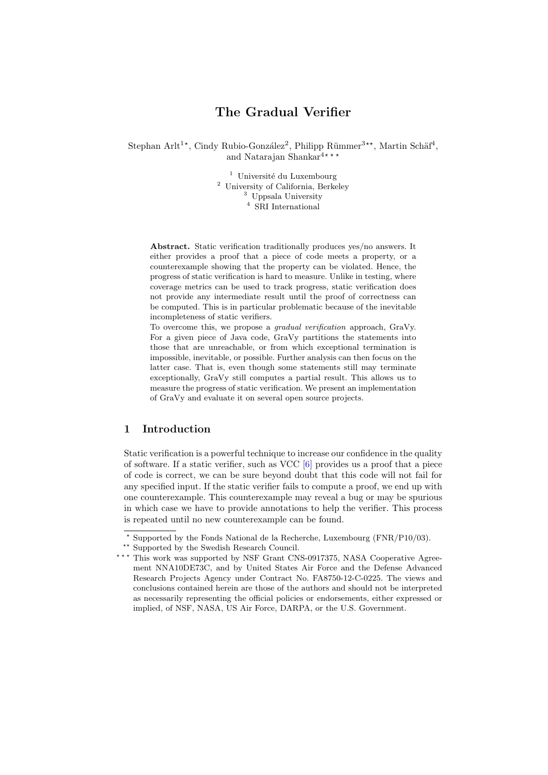# The Gradual Verifier

Stephan Arlt<sup>1\*</sup>, Cindy Rubio-González<sup>2</sup>, Philipp Rümmer<sup>3\*\*</sup>, Martin Schäf<sup>4</sup>, and Natarajan Shankar<sup>4\*\*\*</sup>

> $^{\rm 1}$ Université du Luxembourg University of California, Berkeley Uppsala University SRI International

Abstract. Static verification traditionally produces yes/no answers. It either provides a proof that a piece of code meets a property, or a counterexample showing that the property can be violated. Hence, the progress of static verification is hard to measure. Unlike in testing, where coverage metrics can be used to track progress, static verification does not provide any intermediate result until the proof of correctness can be computed. This is in particular problematic because of the inevitable incompleteness of static verifiers.

To overcome this, we propose a gradual verification approach, GraVy. For a given piece of Java code, GraVy partitions the statements into those that are unreachable, or from which exceptional termination is impossible, inevitable, or possible. Further analysis can then focus on the latter case. That is, even though some statements still may terminate exceptionally, GraVy still computes a partial result. This allows us to measure the progress of static verification. We present an implementation of GraVy and evaluate it on several open source projects.

# 1 Introduction

Static verification is a powerful technique to increase our confidence in the quality of software. If a static verifier, such as VCC  $[6]$  provides us a proof that a piece of code is correct, we can be sure beyond doubt that this code will not fail for any specified input. If the static verifier fails to compute a proof, we end up with one counterexample. This counterexample may reveal a bug or may be spurious in which case we have to provide annotations to help the verifier. This process is repeated until no new counterexample can be found.

<sup>?</sup> Supported by the Fonds National de la Recherche, Luxembourg (FNR/P10/03).

<sup>\*\*</sup> Supported by the Swedish Research Council.

<sup>\*\*\*</sup> This work was supported by NSF Grant CNS-0917375, NASA Cooperative Agreement NNA10DE73C, and by United States Air Force and the Defense Advanced Research Projects Agency under Contract No. FA8750-12-C-0225. The views and conclusions contained herein are those of the authors and should not be interpreted as necessarily representing the official policies or endorsements, either expressed or implied, of NSF, NASA, US Air Force, DARPA, or the U.S. Government.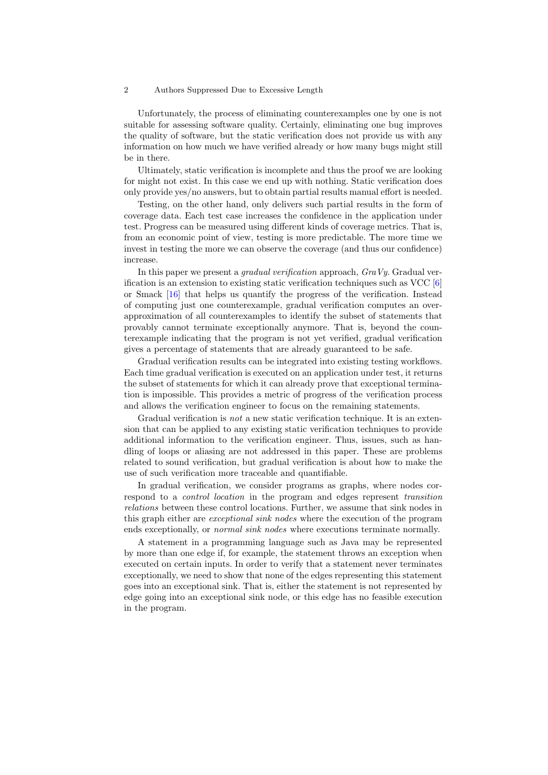Unfortunately, the process of eliminating counterexamples one by one is not suitable for assessing software quality. Certainly, eliminating one bug improves the quality of software, but the static verification does not provide us with any information on how much we have verified already or how many bugs might still be in there.

Ultimately, static verification is incomplete and thus the proof we are looking for might not exist. In this case we end up with nothing. Static verification does only provide yes/no answers, but to obtain partial results manual effort is needed.

Testing, on the other hand, only delivers such partial results in the form of coverage data. Each test case increases the confidence in the application under test. Progress can be measured using different kinds of coverage metrics. That is, from an economic point of view, testing is more predictable. The more time we invest in testing the more we can observe the coverage (and thus our confidence) increase.

In this paper we present a *gradual verification* approach,  $GraVy$ . Gradual verification is an extension to existing static verification techniques such as VCC [\[6\]](#page-14-0) or Smack [\[16\]](#page-14-1) that helps us quantify the progress of the verification. Instead of computing just one counterexample, gradual verification computes an overapproximation of all counterexamples to identify the subset of statements that provably cannot terminate exceptionally anymore. That is, beyond the counterexample indicating that the program is not yet verified, gradual verification gives a percentage of statements that are already guaranteed to be safe.

Gradual verification results can be integrated into existing testing workflows. Each time gradual verification is executed on an application under test, it returns the subset of statements for which it can already prove that exceptional termination is impossible. This provides a metric of progress of the verification process and allows the verification engineer to focus on the remaining statements.

Gradual verification is *not* a new static verification technique. It is an extension that can be applied to any existing static verification techniques to provide additional information to the verification engineer. Thus, issues, such as handling of loops or aliasing are not addressed in this paper. These are problems related to sound verification, but gradual verification is about how to make the use of such verification more traceable and quantifiable.

In gradual verification, we consider programs as graphs, where nodes correspond to a control location in the program and edges represent transition relations between these control locations. Further, we assume that sink nodes in this graph either are exceptional sink nodes where the execution of the program ends exceptionally, or *normal sink nodes* where executions terminate normally.

A statement in a programming language such as Java may be represented by more than one edge if, for example, the statement throws an exception when executed on certain inputs. In order to verify that a statement never terminates exceptionally, we need to show that none of the edges representing this statement goes into an exceptional sink. That is, either the statement is not represented by edge going into an exceptional sink node, or this edge has no feasible execution in the program.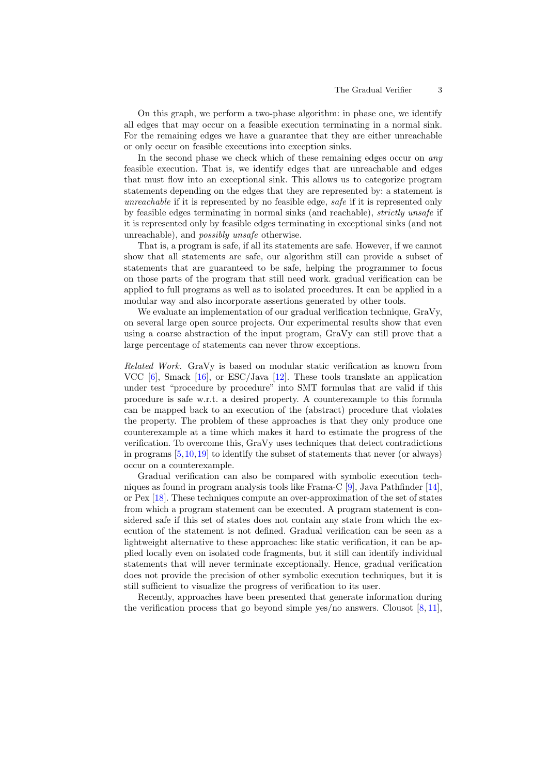On this graph, we perform a two-phase algorithm: in phase one, we identify all edges that may occur on a feasible execution terminating in a normal sink. For the remaining edges we have a guarantee that they are either unreachable or only occur on feasible executions into exception sinks.

In the second phase we check which of these remaining edges occur on *any* feasible execution. That is, we identify edges that are unreachable and edges that must flow into an exceptional sink. This allows us to categorize program statements depending on the edges that they are represented by: a statement is unreachable if it is represented by no feasible edge, safe if it is represented only by feasible edges terminating in normal sinks (and reachable), strictly unsafe if it is represented only by feasible edges terminating in exceptional sinks (and not unreachable), and possibly unsafe otherwise.

That is, a program is safe, if all its statements are safe. However, if we cannot show that all statements are safe, our algorithm still can provide a subset of statements that are guaranteed to be safe, helping the programmer to focus on those parts of the program that still need work. gradual verification can be applied to full programs as well as to isolated procedures. It can be applied in a modular way and also incorporate assertions generated by other tools.

We evaluate an implementation of our gradual verification technique, GraVy, on several large open source projects. Our experimental results show that even using a coarse abstraction of the input program, GraVy can still prove that a large percentage of statements can never throw exceptions.

Related Work. GraVy is based on modular static verification as known from VCC [\[6\]](#page-14-0), Smack [\[16\]](#page-14-1), or ESC/Java [\[12\]](#page-14-2). These tools translate an application under test "procedure by procedure" into SMT formulas that are valid if this procedure is safe w.r.t. a desired property. A counterexample to this formula can be mapped back to an execution of the (abstract) procedure that violates the property. The problem of these approaches is that they only produce one counterexample at a time which makes it hard to estimate the progress of the verification. To overcome this, GraVy uses techniques that detect contradictions in programs  $[5,10,19]$  $[5,10,19]$  $[5,10,19]$  to identify the subset of statements that never (or always) occur on a counterexample.

Gradual verification can also be compared with symbolic execution techniques as found in program analysis tools like Frama-C [\[9\]](#page-14-6), Java Pathfinder [\[14\]](#page-14-7), or Pex [\[18\]](#page-14-8). These techniques compute an over-approximation of the set of states from which a program statement can be executed. A program statement is considered safe if this set of states does not contain any state from which the execution of the statement is not defined. Gradual verification can be seen as a lightweight alternative to these approaches: like static verification, it can be applied locally even on isolated code fragments, but it still can identify individual statements that will never terminate exceptionally. Hence, gradual verification does not provide the precision of other symbolic execution techniques, but it is still sufficient to visualize the progress of verification to its user.

Recently, approaches have been presented that generate information during the verification process that go beyond simple yes/no answers. Clousot  $[8, 11]$  $[8, 11]$  $[8, 11]$ ,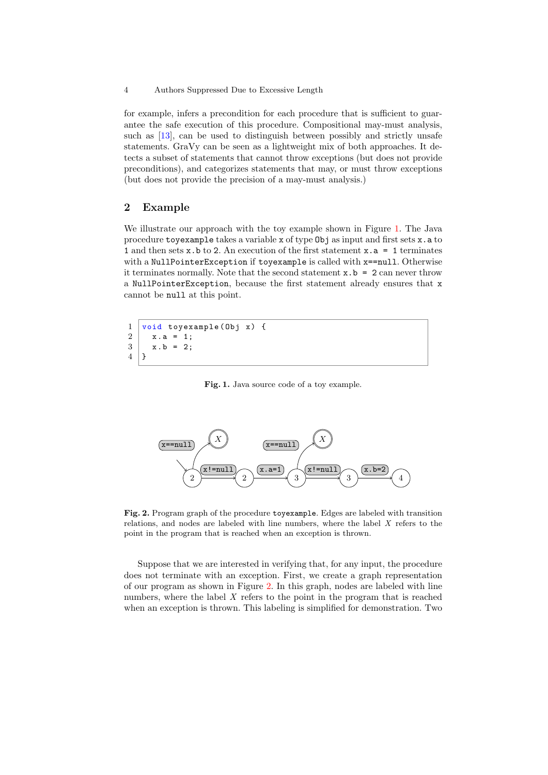for example, infers a precondition for each procedure that is sufficient to guarantee the safe execution of this procedure. Compositional may-must analysis, such as [\[13\]](#page-14-11), can be used to distinguish between possibly and strictly unsafe statements. GraVy can be seen as a lightweight mix of both approaches. It detects a subset of statements that cannot throw exceptions (but does not provide preconditions), and categorizes statements that may, or must throw exceptions (but does not provide the precision of a may-must analysis.)

# 2 Example

We illustrate our approach with the toy example shown in Figure [1.](#page-3-0) The Java procedure to yexample takes a variable x of type  $\mathsf{Obj}\n$  as input and first sets x.a to 1 and then sets  $x.b$  to 2. An execution of the first statement  $x.a = 1$  terminates with a NullPointerException if toyexample is called with x==null. Otherwise it terminates normally. Note that the second statement  $x.b = 2$  can never throw a NullPointerException, because the first statement already ensures that x cannot be null at this point.

 $\begin{array}{c|cc}\n1 & \text{void toy example (Obj x)} & \{x \cdot a = 1:\}\n\end{array}$  $\begin{array}{c|cc} 2 & x.a & = 1; \\ 3 & x.b & = 2; \end{array}$  $x \cdot b = 2$ :  $4$  }

<span id="page-3-0"></span>Fig. 1. Java source code of a toy example.



<span id="page-3-1"></span>Fig. 2. Program graph of the procedure toyexample. Edges are labeled with transition relations, and nodes are labeled with line numbers, where the label X refers to the point in the program that is reached when an exception is thrown.

Suppose that we are interested in verifying that, for any input, the procedure does not terminate with an exception. First, we create a graph representation of our program as shown in Figure [2.](#page-3-1) In this graph, nodes are labeled with line numbers, where the label  $X$  refers to the point in the program that is reached when an exception is thrown. This labeling is simplified for demonstration. Two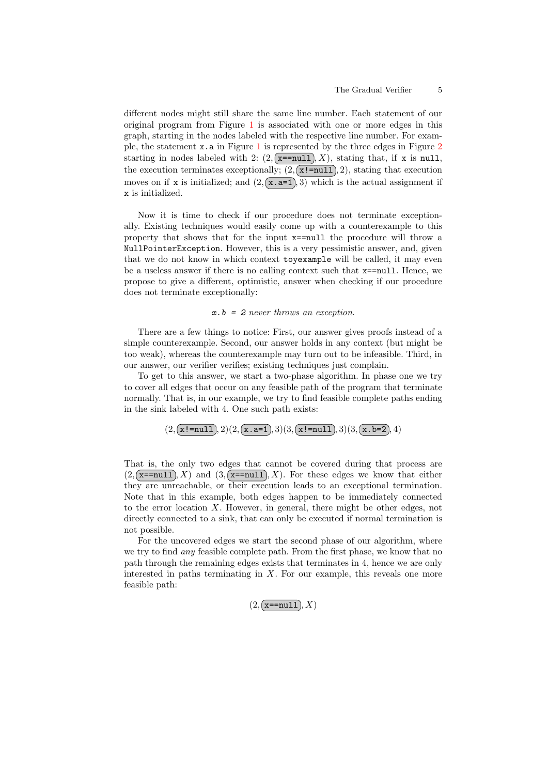different nodes might still share the same line number. Each statement of our original program from Figure [1](#page-3-0) is associated with one or more edges in this graph, starting in the nodes labeled with the respective line number. For example, the statement  $x \cdot a$  in Figure [1](#page-3-0) is represented by the three edges in Figure [2](#page-3-1) starting in nodes labeled with 2:  $(2, (\overline{x}=\text{null}), X)$ , stating that, if x is null, the execution terminates exceptionally;  $(2, x!=null)$ , 2), stating that execution moves on if x is initialized; and  $(2, (x.a=1), 3)$  which is the actual assignment if x is initialized.

Now it is time to check if our procedure does not terminate exceptionally. Existing techniques would easily come up with a counterexample to this property that shows that for the input x==null the procedure will throw a NullPointerException. However, this is a very pessimistic answer, and, given that we do not know in which context toyexample will be called, it may even be a useless answer if there is no calling context such that x==null. Hence, we propose to give a different, optimistic, answer when checking if our procedure does not terminate exceptionally:

#### $x.b = 2$  never throws an exception.

There are a few things to notice: First, our answer gives proofs instead of a simple counterexample. Second, our answer holds in any context (but might be too weak), whereas the counterexample may turn out to be infeasible. Third, in our answer, our verifier verifies; existing techniques just complain.

To get to this answer, we start a two-phase algorithm. In phase one we try to cover all edges that occur on any feasible path of the program that terminate normally. That is, in our example, we try to find feasible complete paths ending in the sink labeled with 4. One such path exists:

$$
(2, (x \cdot l = \texttt{null}), 2)(2, (x \cdot a = 1), 3)(3, (x \cdot l = \texttt{null}), 3)(3, (x \cdot b = 2), 4)
$$

That is, the only two edges that cannot be covered during that process are  $(2, (x=null), X)$  and  $(3, (x=null), X)$ . For these edges we know that either they are unreachable, or their execution leads to an exceptional termination. Note that in this example, both edges happen to be immediately connected to the error location  $X$ . However, in general, there might be other edges, not directly connected to a sink, that can only be executed if normal termination is not possible.

For the uncovered edges we start the second phase of our algorithm, where we try to find *any* feasible complete path. From the first phase, we know that no path through the remaining edges exists that terminates in 4, hence we are only interested in paths terminating in  $X$ . For our example, this reveals one more feasible path:

 $(2, (x=null), X)$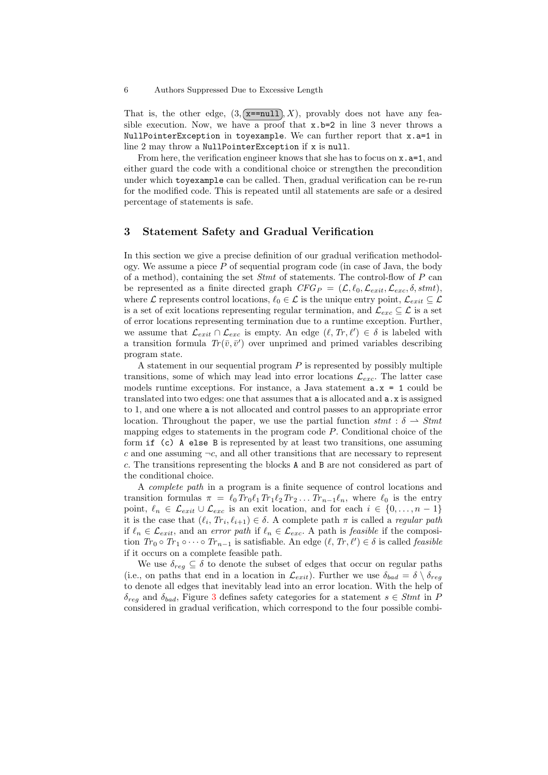That is, the other edge,  $(3, (\overline{x}=\text{null}), X)$ , provably does not have any feasible execution. Now, we have a proof that  $x.b=2$  in line 3 never throws a NullPointerException in toyexample. We can further report that  $x.a=1$  in line 2 may throw a NullPointerException if x is null.

From here, the verification engineer knows that she has to focus on  $x \cdot a=1$ , and either guard the code with a conditional choice or strengthen the precondition under which toyexample can be called. Then, gradual verification can be re-run for the modified code. This is repeated until all statements are safe or a desired percentage of statements is safe.

### <span id="page-5-0"></span>3 Statement Safety and Gradual Verification

In this section we give a precise definition of our gradual verification methodology. We assume a piece  $P$  of sequential program code (in case of Java, the body of a method), containing the set  $Stmt$  of statements. The control-flow of  $P$  can be represented as a finite directed graph  $CFG_P = (\mathcal{L}, \ell_0, \mathcal{L}_{exit}, \mathcal{L}_{exc}, \delta, \text{stmt})$ , where  $\mathcal L$  represents control locations,  $\ell_0 \in \mathcal L$  is the unique entry point,  $\mathcal L_{exit} \subseteq \mathcal L$ is a set of exit locations representing regular termination, and  $\mathcal{L}_{exc} \subseteq \mathcal{L}$  is a set of error locations representing termination due to a runtime exception. Further, we assume that  $\mathcal{L}_{exit} \cap \mathcal{L}_{exc}$  is empty. An edge  $(\ell, Tr, \ell') \in \delta$  is labeled with a transition formula  $Tr(\bar{v}, \bar{v}')$  over unprimed and primed variables describing program state.

A statement in our sequential program  $P$  is represented by possibly multiple transitions, some of which may lead into error locations  $\mathcal{L}_{exc}$ . The latter case models runtime exceptions. For instance, a Java statement  $a.x = 1$  could be translated into two edges: one that assumes that a is allocated and a.x is assigned to 1, and one where a is not allocated and control passes to an appropriate error location. Throughout the paper, we use the partial function  $s$ tmt :  $\delta \rightarrow S$ tmt mapping edges to statements in the program code  $P$ . Conditional choice of the form if (c) A else B is represented by at least two transitions, one assuming c and one assuming  $\neg c$ , and all other transitions that are necessary to represent c. The transitions representing the blocks A and B are not considered as part of the conditional choice.

A complete path in a program is a finite sequence of control locations and transition formulas  $\pi = \ell_0 Tr_0 \ell_1 Tr_1 \ell_2 Tr_2 ... Tr_{n-1} \ell_n$ , where  $\ell_0$  is the entry point,  $\ell_n \in \mathcal{L}_{exit} \cup \mathcal{L}_{exc}$  is an exit location, and for each  $i \in \{0, ..., n-1\}$ it is the case that  $(\ell_i, Tr_i, \ell_{i+1}) \in \delta$ . A complete path  $\pi$  is called a *regular path* if  $\ell_n \in \mathcal{L}_{exit}$ , and an error path if  $\ell_n \in \mathcal{L}_{exc}$ . A path is *feasible* if the composition  $Tr_0 \circ Tr_1 \circ \cdots \circ Tr_{n-1}$  is satisfiable. An edge  $(\ell, Tr, \ell') \in \delta$  is called *feasible* if it occurs on a complete feasible path.

We use  $\delta_{req} \subseteq \delta$  to denote the subset of edges that occur on regular paths (i.e., on paths that end in a location in  $\mathcal{L}_{exit}$ ). Further we use  $\delta_{bad} = \delta \setminus \delta_{req}$ to denote all edges that inevitably lead into an error location. With the help of  $\delta_{reg}$  and  $\delta_{bad}$ , Figure [3](#page-6-0) defines safety categories for a statement  $s \in S$ tmt in P considered in gradual verification, which correspond to the four possible combi-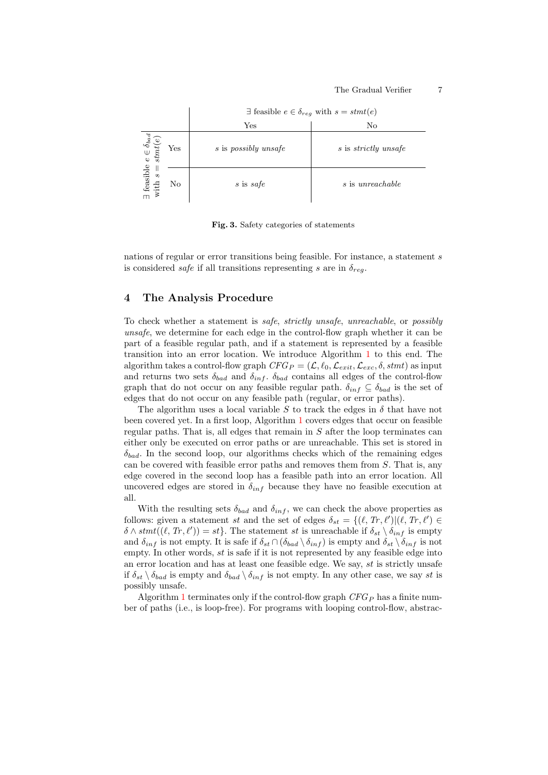

<span id="page-6-0"></span>Fig. 3. Safety categories of statements

nations of regular or error transitions being feasible. For instance, a statement s is considered *safe* if all transitions representing s are in  $\delta_{req}$ .

# <span id="page-6-2"></span>4 The Analysis Procedure

<span id="page-6-1"></span>To check whether a statement is safe, strictly unsafe, unreachable, or possibly unsafe, we determine for each edge in the control-flow graph whether it can be part of a feasible regular path, and if a statement is represented by a feasible transition into an error location. We introduce Algorithm [1](#page-6-1) to this end. The algorithm takes a control-flow graph  $CFG_P = (\mathcal{L}, \ell_0, \mathcal{L}_{exit}, \mathcal{L}_{exc}, \delta, \text{stmt})$  as input and returns two sets  $\delta_{bad}$  and  $\delta_{inf}$ .  $\delta_{bad}$  contains all edges of the control-flow graph that do not occur on any feasible regular path.  $\delta_{inf} \subseteq \delta_{bad}$  is the set of edges that do not occur on any feasible path (regular, or error paths).

The algorithm uses a local variable S to track the edges in  $\delta$  that have not been covered yet. In a first loop, Algorithm [1](#page-6-1) covers edges that occur on feasible regular paths. That is, all edges that remain in  $S$  after the loop terminates can either only be executed on error paths or are unreachable. This set is stored in  $\delta_{bad}$ . In the second loop, our algorithms checks which of the remaining edges can be covered with feasible error paths and removes them from S. That is, any edge covered in the second loop has a feasible path into an error location. All uncovered edges are stored in  $\delta_{inf}$  because they have no feasible execution at all.

With the resulting sets  $\delta_{bad}$  and  $\delta_{inf}$ , we can check the above properties as follows: given a statement st and the set of edges  $\delta_{st} = \{(\ell, Tr, \ell') | (\ell, Tr, \ell') \in$  $\delta \wedge \text{stmt}((\ell, Tr, \ell')) = st$ . The statement st is unreachable if  $\delta_{st} \setminus \delta_{inf}$  is empty and  $\delta_{inf}$  is not empty. It is safe if  $\delta_{st} \cap (\delta_{bad} \setminus \delta_{inf})$  is empty and  $\delta_{st} \setminus \delta_{inf}$  is not empty. In other words,  $st$  is safe if it is not represented by any feasible edge into an error location and has at least one feasible edge. We say,  $st$  is strictly unsafe if  $\delta_{st} \setminus \delta_{bad}$  is empty and  $\delta_{bad} \setminus \delta_{inf}$  is not empty. In any other case, we say st is possibly unsafe.

Algorithm [1](#page-6-1) terminates only if the control-flow graph  $CFG_P$  has a finite number of paths (i.e., is loop-free). For programs with looping control-flow, abstrac-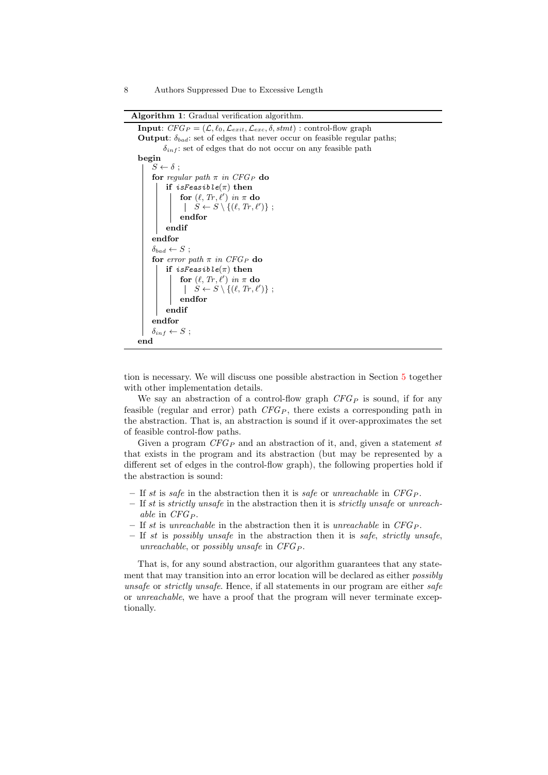Algorithm 1: Gradual verification algorithm.

```
Input: CFG_P = (\mathcal{L}, \ell_0, \mathcal{L}_{exit}, \mathcal{L}_{exc}, \delta, \text{stm}t): control-flow graph
Output: \delta_{bad}: set of edges that never occur on feasible regular paths;
         \delta_{inf}: set of edges that do not occur on any feasible path
begin
     S \leftarrow \delta:
     for regular path \pi in CFG<sub>P</sub> do
          if isFeasible(\pi) then
                 for (\ell, Tr, \ell') in \pi do
                      S \leftarrow S \setminus \{(\ell, Tr, \ell')\};
                endfor
          endif
     endfor
     \delta_{bad} \leftarrow S ;
     for error path \pi in CFG<sub>P</sub> do
          if isFeasible(\pi) then
                 for (\ell, Tr, \ell') in \pi do
                      S \leftarrow S \setminus \{(\ell, Tr, \ell')\};
                endfor
          endif
     endfor
     \delta_{inf} \leftarrow S;
end
```
tion is necessary. We will discuss one possible abstraction in Section [5](#page-8-0) together with other implementation details.

We say an abstraction of a control-flow graph  $CFG_P$  is sound, if for any feasible (regular and error) path  $CFG_P$ , there exists a corresponding path in the abstraction. That is, an abstraction is sound if it over-approximates the set of feasible control-flow paths.

Given a program  $CFG_P$  and an abstraction of it, and, given a statement st that exists in the program and its abstraction (but may be represented by a different set of edges in the control-flow graph), the following properties hold if the abstraction is sound:

- If st is safe in the abstraction then it is safe or unreachable in  $CFG_P$ .
- If st is strictly unsafe in the abstraction then it is strictly unsafe or unreachable in  $CFG_P$ .
- If st is unreachable in the abstraction then it is unreachable in  $CFG_P$ .
- $-$  If st is possibly unsafe in the abstraction then it is safe, strictly unsafe, unreachable, or possibly unsafe in  $CFG_P$ .

That is, for any sound abstraction, our algorithm guarantees that any statement that may transition into an error location will be declared as either *possibly* unsafe or strictly unsafe. Hence, if all statements in our program are either safe or unreachable, we have a proof that the program will never terminate exceptionally.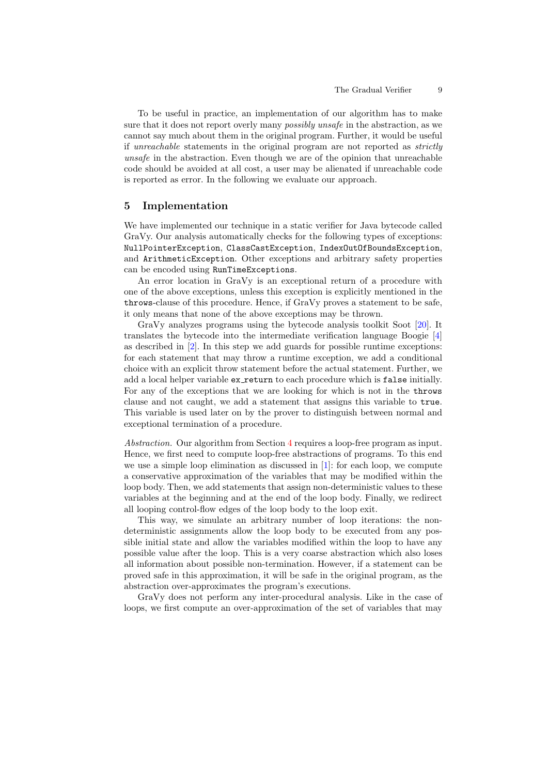To be useful in practice, an implementation of our algorithm has to make sure that it does not report overly many possibly unsafe in the abstraction, as we cannot say much about them in the original program. Further, it would be useful if unreachable statements in the original program are not reported as strictly unsafe in the abstraction. Even though we are of the opinion that unreachable code should be avoided at all cost, a user may be alienated if unreachable code is reported as error. In the following we evaluate our approach.

### <span id="page-8-0"></span>5 Implementation

We have implemented our technique in a static verifier for Java bytecode called GraVy. Our analysis automatically checks for the following types of exceptions: NullPointerException, ClassCastException, IndexOutOfBoundsException, and ArithmeticException. Other exceptions and arbitrary safety properties can be encoded using RunTimeExceptions.

An error location in GraVy is an exceptional return of a procedure with one of the above exceptions, unless this exception is explicitly mentioned in the throws-clause of this procedure. Hence, if GraVy proves a statement to be safe, it only means that none of the above exceptions may be thrown.

GraVy analyzes programs using the bytecode analysis toolkit Soot [\[20\]](#page-14-12). It translates the bytecode into the intermediate verification language Boogie [\[4\]](#page-14-13) as described in [\[2\]](#page-14-14). In this step we add guards for possible runtime exceptions: for each statement that may throw a runtime exception, we add a conditional choice with an explicit throw statement before the actual statement. Further, we add a local helper variable ex\_return to each procedure which is false initially. For any of the exceptions that we are looking for which is not in the throws clause and not caught, we add a statement that assigns this variable to true. This variable is used later on by the prover to distinguish between normal and exceptional termination of a procedure.

Abstraction. Our algorithm from Section [4](#page-6-2) requires a loop-free program as input. Hence, we first need to compute loop-free abstractions of programs. To this end we use a simple loop elimination as discussed in [\[1\]](#page-14-15): for each loop, we compute a conservative approximation of the variables that may be modified within the loop body. Then, we add statements that assign non-deterministic values to these variables at the beginning and at the end of the loop body. Finally, we redirect all looping control-flow edges of the loop body to the loop exit.

This way, we simulate an arbitrary number of loop iterations: the nondeterministic assignments allow the loop body to be executed from any possible initial state and allow the variables modified within the loop to have any possible value after the loop. This is a very coarse abstraction which also loses all information about possible non-termination. However, if a statement can be proved safe in this approximation, it will be safe in the original program, as the abstraction over-approximates the program's executions.

GraVy does not perform any inter-procedural analysis. Like in the case of loops, we first compute an over-approximation of the set of variables that may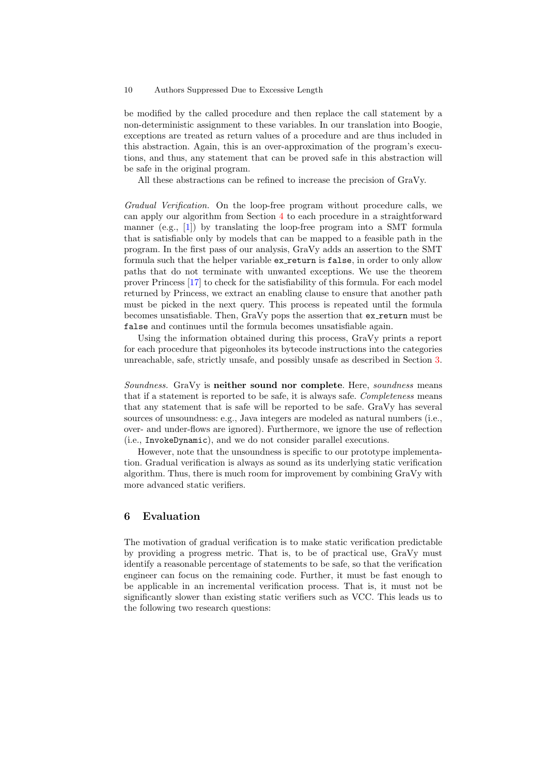be modified by the called procedure and then replace the call statement by a non-deterministic assignment to these variables. In our translation into Boogie, exceptions are treated as return values of a procedure and are thus included in this abstraction. Again, this is an over-approximation of the program's executions, and thus, any statement that can be proved safe in this abstraction will be safe in the original program.

All these abstractions can be refined to increase the precision of GraVy.

Gradual Verification. On the loop-free program without procedure calls, we can apply our algorithm from Section [4](#page-6-2) to each procedure in a straightforward manner (e.g.,  $[1]$ ) by translating the loop-free program into a SMT formula that is satisfiable only by models that can be mapped to a feasible path in the program. In the first pass of our analysis, GraVy adds an assertion to the SMT formula such that the helper variable  $ex_{\text{return}}$  is false, in order to only allow paths that do not terminate with unwanted exceptions. We use the theorem prover Princess [\[17\]](#page-14-16) to check for the satisfiability of this formula. For each model returned by Princess, we extract an enabling clause to ensure that another path must be picked in the next query. This process is repeated until the formula becomes unsatisfiable. Then, GraVy pops the assertion that ex\_return must be false and continues until the formula becomes unsatisfiable again.

Using the information obtained during this process, GraVy prints a report for each procedure that pigeonholes its bytecode instructions into the categories unreachable, safe, strictly unsafe, and possibly unsafe as described in Section [3.](#page-5-0)

Soundness. GraVy is neither sound nor complete. Here, soundness means that if a statement is reported to be safe, it is always safe. Completeness means that any statement that is safe will be reported to be safe. GraVy has several sources of unsoundness: e.g., Java integers are modeled as natural numbers (i.e., over- and under-flows are ignored). Furthermore, we ignore the use of reflection (i.e., InvokeDynamic), and we do not consider parallel executions.

However, note that the unsoundness is specific to our prototype implementation. Gradual verification is always as sound as its underlying static verification algorithm. Thus, there is much room for improvement by combining GraVy with more advanced static verifiers.

# 6 Evaluation

The motivation of gradual verification is to make static verification predictable by providing a progress metric. That is, to be of practical use, GraVy must identify a reasonable percentage of statements to be safe, so that the verification engineer can focus on the remaining code. Further, it must be fast enough to be applicable in an incremental verification process. That is, it must not be significantly slower than existing static verifiers such as VCC. This leads us to the following two research questions: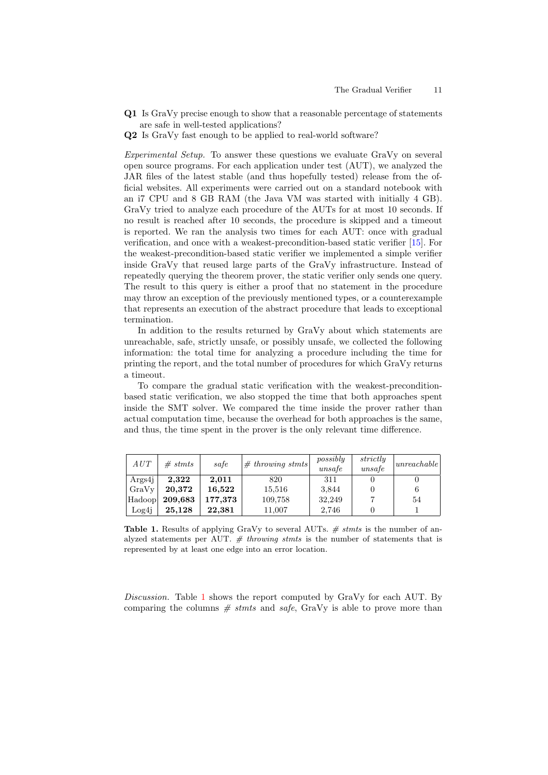- Q1 Is GraVy precise enough to show that a reasonable percentage of statements are safe in well-tested applications?
- Q2 Is GraVy fast enough to be applied to real-world software?

Experimental Setup. To answer these questions we evaluate GraVy on several open source programs. For each application under test (AUT), we analyzed the JAR files of the latest stable (and thus hopefully tested) release from the official websites. All experiments were carried out on a standard notebook with an i7 CPU and 8 GB RAM (the Java VM was started with initially 4 GB). GraVy tried to analyze each procedure of the AUTs for at most 10 seconds. If no result is reached after 10 seconds, the procedure is skipped and a timeout is reported. We ran the analysis two times for each AUT: once with gradual verification, and once with a weakest-precondition-based static verifier [\[15\]](#page-14-17). For the weakest-precondition-based static verifier we implemented a simple verifier inside GraVy that reused large parts of the GraVy infrastructure. Instead of repeatedly querying the theorem prover, the static verifier only sends one query. The result to this query is either a proof that no statement in the procedure may throw an exception of the previously mentioned types, or a counterexample that represents an execution of the abstract procedure that leads to exceptional termination.

In addition to the results returned by GraVy about which statements are unreachable, safe, strictly unsafe, or possibly unsafe, we collected the following information: the total time for analyzing a procedure including the time for printing the report, and the total number of procedures for which GraVy returns a timeout.

To compare the gradual static verification with the weakest-preconditionbased static verification, we also stopped the time that both approaches spent inside the SMT solver. We compared the time inside the prover rather than actual computation time, because the overhead for both approaches is the same, and thus, the time spent in the prover is the only relevant time difference.

| AUT            | $# \, st m t s$ | safe    | $#$ throwing stmts | possibly<br>unsafe | strictly<br>unsafe | unreachable |
|----------------|-----------------|---------|--------------------|--------------------|--------------------|-------------|
| Args4 <i>i</i> | 2.322           | 2.011   | 820                | 311                |                    |             |
| GraVy          | 20,372          | 16,522  | 15,516             | 3.844              |                    |             |
| Hadoopl        | 209.683         | 177.373 | 109,758            | 32.249             |                    | 54          |
| Log4i          | 25,128          | 22,381  | 11,007             | 2.746              |                    |             |

<span id="page-10-0"></span>**Table 1.** Results of applying GraVy to several AUTs.  $# \text{ st}$  is the number of analyzed statements per AUT.  $#$  throwing stmts is the number of statements that is represented by at least one edge into an error location.

Discussion. Table [1](#page-10-0) shows the report computed by GraVy for each AUT. By comparing the columns  $# \, \text{stm} \, \text{s}$  and safe, GraVy is able to prove more than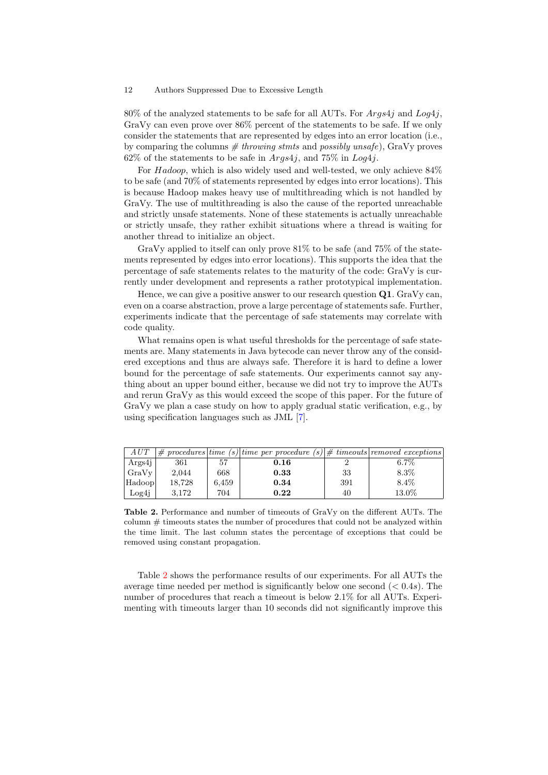80% of the analyzed statements to be safe for all AUTs. For  $\text{Args4}$  and  $\text{Log4}$ , GraVy can even prove over 86% percent of the statements to be safe. If we only consider the statements that are represented by edges into an error location (i.e., by comparing the columns  $#$  throwing stmts and possibly unsafe), GraVy proves  $62\%$  of the statements to be safe in  $Args4j$ , and  $75\%$  in  $Log4j$ .

For Hadoop, which is also widely used and well-tested, we only achieve  $84\%$ to be safe (and 70% of statements represented by edges into error locations). This is because Hadoop makes heavy use of multithreading which is not handled by GraVy. The use of multithreading is also the cause of the reported unreachable and strictly unsafe statements. None of these statements is actually unreachable or strictly unsafe, they rather exhibit situations where a thread is waiting for another thread to initialize an object.

GraVy applied to itself can only prove 81% to be safe (and 75% of the statements represented by edges into error locations). This supports the idea that the percentage of safe statements relates to the maturity of the code: GraVy is currently under development and represents a rather prototypical implementation.

Hence, we can give a positive answer to our research question  $Q1$ . GraVy can, even on a coarse abstraction, prove a large percentage of statements safe. Further, experiments indicate that the percentage of safe statements may correlate with code quality.

What remains open is what useful thresholds for the percentage of safe statements are. Many statements in Java bytecode can never throw any of the considered exceptions and thus are always safe. Therefore it is hard to define a lower bound for the percentage of safe statements. Our experiments cannot say anything about an upper bound either, because we did not try to improve the AUTs and rerun GraVy as this would exceed the scope of this paper. For the future of GraVy we plan a case study on how to apply gradual static verification, e.g., by using specification languages such as JML [\[7\]](#page-14-18).

| AUT    |        |       | $\#$ procedures time (s) time per procedure (s) $\#$ timeouts removed exceptions |     |         |
|--------|--------|-------|----------------------------------------------------------------------------------|-----|---------|
| Args4i | 361    | 57    | 0.16                                                                             |     | $6.7\%$ |
| GraVy  | 2.044  | 668   | 0.33                                                                             | 33  | 8.3%    |
| Hadoop | 18.728 | 6.459 | 0.34                                                                             | 391 | $8.4\%$ |
| Log4j  | 3.172  | 704   | 0.22                                                                             | 40  | 13.0%   |

<span id="page-11-0"></span>Table 2. Performance and number of timeouts of GraVy on the different AUTs. The column  $\#$  timeouts states the number of procedures that could not be analyzed within the time limit. The last column states the percentage of exceptions that could be removed using constant propagation.

Table [2](#page-11-0) shows the performance results of our experiments. For all AUTs the average time needed per method is significantly below one second  $(< 0.4s$ ). The number of procedures that reach a timeout is below 2.1% for all AUTs. Experimenting with timeouts larger than 10 seconds did not significantly improve this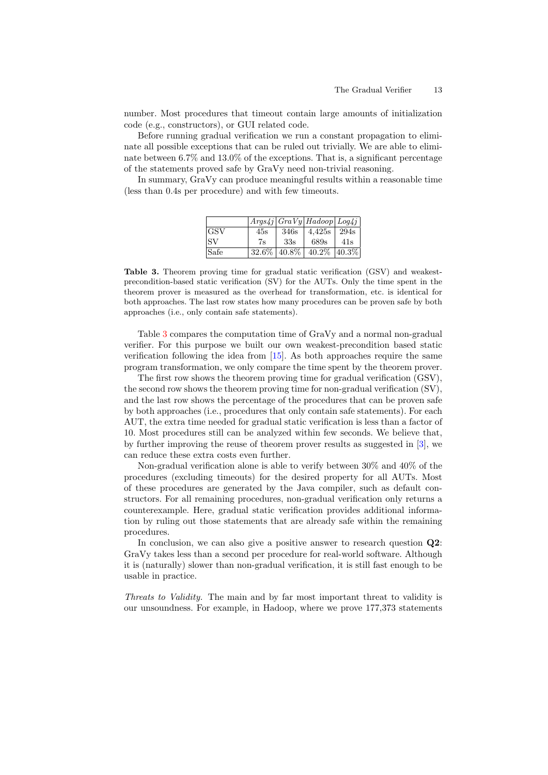number. Most procedures that timeout contain large amounts of initialization code (e.g., constructors), or GUI related code.

Before running gradual verification we run a constant propagation to eliminate all possible exceptions that can be ruled out trivially. We are able to eliminate between 6.7% and 13.0% of the exceptions. That is, a significant percentage of the statements proved safe by GraVy need non-trivial reasoning.

In summary, GraVy can produce meaningful results within a reasonable time (less than 0.4s per procedure) and with few timeouts.

|      |     |      | $\left  \text{Args4j} \right $ Gra Vy $\left  \text{Hadoop} \right $ Log4j |     |
|------|-----|------|----------------------------------------------------------------------------|-----|
| GSV  | 45s | 346s | $4,425s$   294s                                                            |     |
| lSV  | 7s  | 33s  | 689s                                                                       | 41s |
| Safe |     |      | $ 32.6\% 40.8\% 40.2\% 40.3\%$                                             |     |

<span id="page-12-0"></span>Table 3. Theorem proving time for gradual static verification (GSV) and weakestprecondition-based static verification (SV) for the AUTs. Only the time spent in the theorem prover is measured as the overhead for transformation, etc. is identical for both approaches. The last row states how many procedures can be proven safe by both approaches (i.e., only contain safe statements).

Table [3](#page-12-0) compares the computation time of GraVy and a normal non-gradual verifier. For this purpose we built our own weakest-precondition based static verification following the idea from  $[15]$ . As both approaches require the same program transformation, we only compare the time spent by the theorem prover.

The first row shows the theorem proving time for gradual verification (GSV), the second row shows the theorem proving time for non-gradual verification (SV), and the last row shows the percentage of the procedures that can be proven safe by both approaches (i.e., procedures that only contain safe statements). For each AUT, the extra time needed for gradual static verification is less than a factor of 10. Most procedures still can be analyzed within few seconds. We believe that, by further improving the reuse of theorem prover results as suggested in [\[3\]](#page-14-19), we can reduce these extra costs even further.

Non-gradual verification alone is able to verify between 30% and 40% of the procedures (excluding timeouts) for the desired property for all AUTs. Most of these procedures are generated by the Java compiler, such as default constructors. For all remaining procedures, non-gradual verification only returns a counterexample. Here, gradual static verification provides additional information by ruling out those statements that are already safe within the remaining procedures.

In conclusion, we can also give a positive answer to research question  $Q2$ : GraVy takes less than a second per procedure for real-world software. Although it is (naturally) slower than non-gradual verification, it is still fast enough to be usable in practice.

Threats to Validity. The main and by far most important threat to validity is our unsoundness. For example, in Hadoop, where we prove 177,373 statements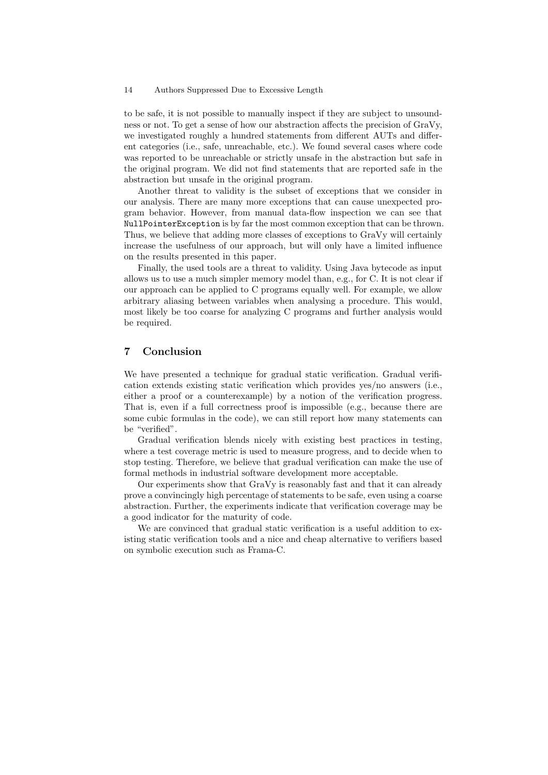to be safe, it is not possible to manually inspect if they are subject to unsoundness or not. To get a sense of how our abstraction affects the precision of GraVy, we investigated roughly a hundred statements from different AUTs and different categories (i.e., safe, unreachable, etc.). We found several cases where code was reported to be unreachable or strictly unsafe in the abstraction but safe in the original program. We did not find statements that are reported safe in the abstraction but unsafe in the original program.

Another threat to validity is the subset of exceptions that we consider in our analysis. There are many more exceptions that can cause unexpected program behavior. However, from manual data-flow inspection we can see that NullPointerException is by far the most common exception that can be thrown. Thus, we believe that adding more classes of exceptions to GraVy will certainly increase the usefulness of our approach, but will only have a limited influence on the results presented in this paper.

Finally, the used tools are a threat to validity. Using Java bytecode as input allows us to use a much simpler memory model than, e.g., for C. It is not clear if our approach can be applied to C programs equally well. For example, we allow arbitrary aliasing between variables when analysing a procedure. This would, most likely be too coarse for analyzing C programs and further analysis would be required.

# 7 Conclusion

We have presented a technique for gradual static verification. Gradual verification extends existing static verification which provides yes/no answers (i.e., either a proof or a counterexample) by a notion of the verification progress. That is, even if a full correctness proof is impossible (e.g., because there are some cubic formulas in the code), we can still report how many statements can be "verified".

Gradual verification blends nicely with existing best practices in testing, where a test coverage metric is used to measure progress, and to decide when to stop testing. Therefore, we believe that gradual verification can make the use of formal methods in industrial software development more acceptable.

Our experiments show that GraVy is reasonably fast and that it can already prove a convincingly high percentage of statements to be safe, even using a coarse abstraction. Further, the experiments indicate that verification coverage may be a good indicator for the maturity of code.

We are convinced that gradual static verification is a useful addition to existing static verification tools and a nice and cheap alternative to verifiers based on symbolic execution such as Frama-C.